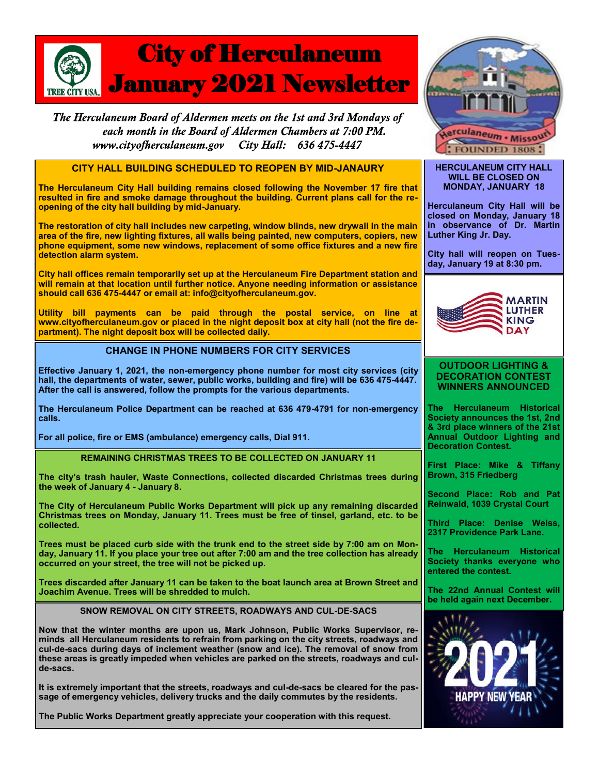

The Herculaneum Board of Aldermen meets on the 1st and 3rd Mondays of each month in the Board of Aldermen Chambers at 7:00 PM. City Hall: 636 475-4447 www.cityofherculaneum.gov



#### **HERCULANEUM CITY HALL WILL BE CLOSED ON MONDAY, JANUARY 18**

**Herculaneum City Hall will be closed on Monday, January 18 in observance of Dr. Martin Luther King Jr. Day.**

**City hall will reopen on Tuesday, January 19 at 8:30 pm.**



### **OUTDOOR LIGHTING & DECORATION CONTEST WINNERS ANNOUNCED**

**The Herculaneum Historical Society announces the 1st, 2nd & 3rd place winners of the 21st Annual Outdoor Lighting and Decoration Contest.**

**First Place: Mike & Tiffany Brown, 315 Friedberg**

**Second Place: Rob and Pat Reinwald, 1039 Crystal Court** 

**Third Place: Denise Weiss, 2317 Providence Park Lane.**

**The Herculaneum Historical Society thanks everyone who entered the contest.**

**The 22nd Annual Contest will be held again next December.**



**CITY HALL BUILDING SCHEDULED TO REOPEN BY MID-JANAURY**

**The Herculaneum City Hall building remains closed following the November 17 fire that resulted in fire and smoke damage throughout the building. Current plans call for the reopening of the city hall building by mid-January.**

**The restoration of city hall includes new carpeting, window blinds, new drywall in the main area of the fire, new lighting fixtures, all walls being painted, new computers, copiers, new phone equipment, some new windows, replacement of some office fixtures and a new fire detection alarm system.**

**City hall offices remain temporarily set up at the Herculaneum Fire Department station and will remain at that location until further notice. Anyone needing information or assistance should call 636 475-4447 or email at: info@cityofherculaneum.gov.**

**Utility bill payments can be paid through the postal service, on line at www.cityofherculaneum.gov or placed in the night deposit box at city hall (not the fire department). The night deposit box will be collected daily.**

# **CHANGE IN PHONE NUMBERS FOR CITY SERVICES**

**Effective January 1, 2021, the non-emergency phone number for most city services (city hall, the departments of water, sewer, public works, building and fire) will be 636 475-4447. After the call is answered, follow the prompts for the various departments.**

**The Herculaneum Police Department can be reached at 636 479-4791 for non-emergency calls.** 

**For all police, fire or EMS (ambulance) emergency calls, Dial 911.**

**REMAINING CHRISTMAS TREES TO BE COLLECTED ON JANUARY 11**

**The city's trash hauler, Waste Connections, collected discarded Christmas trees during the week of January 4 - January 8.**

**The City of Herculaneum Public Works Department will pick up any remaining discarded Christmas trees on Monday, January 11. Trees must be free of tinsel, garland, etc. to be collected.**

**Trees must be placed curb side with the trunk end to the street side by 7:00 am on Monday, January 11. If you place your tree out after 7:00 am and the tree collection has already occurred on your street, the tree will not be picked up.**

**Trees discarded after January 11 can be taken to the boat launch area at Brown Street and Joachim Avenue. Trees will be shredded to mulch.**

**SNOW REMOVAL ON CITY STREETS, ROADWAYS AND CUL-DE-SACS**

**Now that the winter months are upon us, Mark Johnson, Public Works Supervisor, reminds all Herculaneum residents to refrain from parking on the city streets, roadways and cul-de-sacs during days of inclement weather (snow and ice). The removal of snow from these areas is greatly impeded when vehicles are parked on the streets, roadways and culde-sacs.** 

**It is extremely important that the streets, roadways and cul-de-sacs be cleared for the passage of emergency vehicles, delivery trucks and the daily commutes by the residents.** 

**The Public Works Department greatly appreciate your cooperation with this request.**